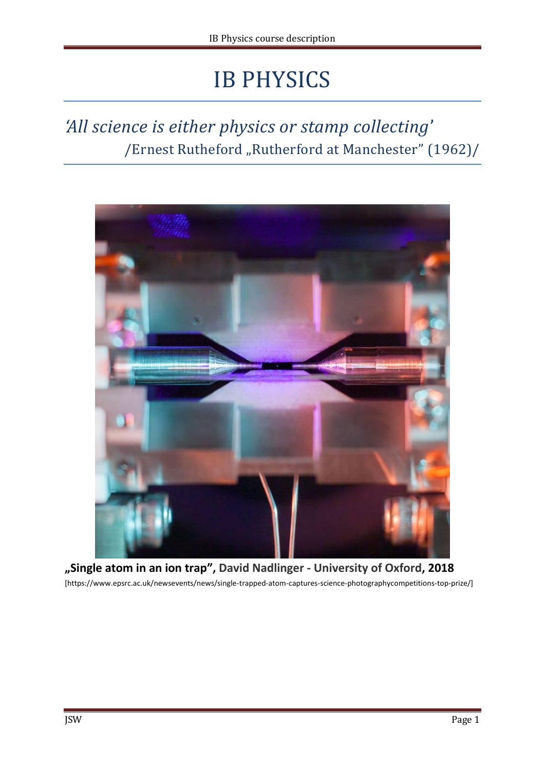# IB PHYSICS

# *'All science is either physics or stamp collecting*' /Ernest Rutheford "Rutherford at Manchester" (1962)/



**"Single atom in an ion trap", David Nadlinger - University of Oxford, 2018** [https://www.epsrc.ac.uk/newsevents/news/single-trapped-atom-captures-science-photographycompetitions-top-prize/]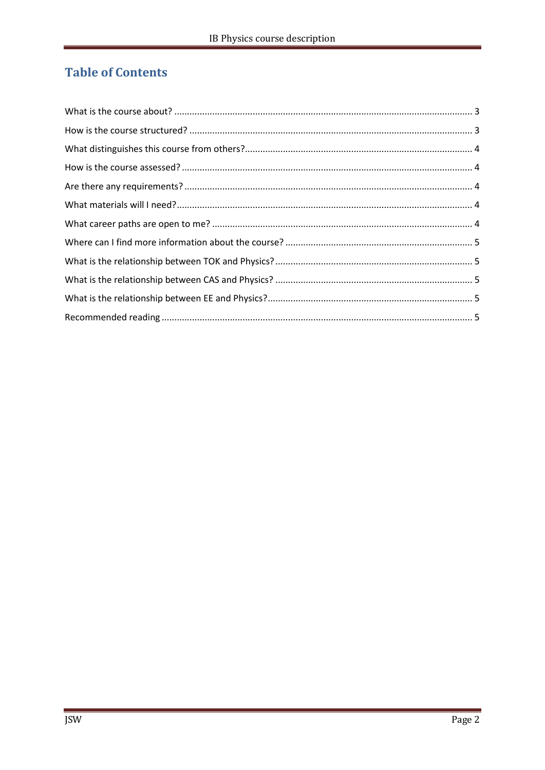# **Table of Contents**

<span id="page-1-0"></span>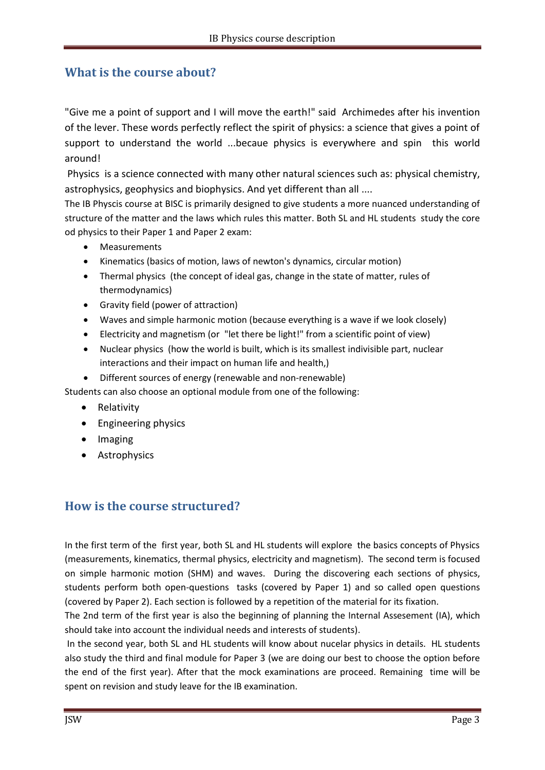# **What is the course about?**

"Give me a point of support and I will move the earth!" said Archimedes after his invention of the lever. These words perfectly reflect the spirit of physics: a science that gives a point of support to understand the world ...becaue physics is everywhere and spin this world around!

Physics is a science connected with many other natural sciences such as: physical chemistry, astrophysics, geophysics and biophysics. And yet different than all ....

The IB Physcis course at BISC is primarily designed to give students a more nuanced understanding of structure of the matter and the laws which rules this matter. Both SL and HL students study the core od physics to their Paper 1 and Paper 2 exam:

- Measurements
- Kinematics (basics of motion, laws of newton's dynamics, circular motion)
- Thermal physics (the concept of ideal gas, change in the state of matter, rules of thermodynamics)
- Gravity field (power of attraction)
- Waves and simple harmonic motion (because everything is a wave if we look closely)
- Electricity and magnetism (or "let there be light!" from a scientific point of view)
- Nuclear physics (how the world is built, which is its smallest indivisible part, nuclear interactions and their impact on human life and health,)
- Different sources of energy (renewable and non-renewable)

Students can also choose an optional module from one of the following:

- Relativity
- Engineering physics
- Imaging
- Astrophysics

# <span id="page-2-0"></span>**How is the course structured?**

In the first term of the first year, both SL and HL students will explore the basics concepts of Physics (measurements, kinematics, thermal physics, electricity and magnetism). The second term is focused on simple harmonic motion (SHM) and waves. During the discovering each sections of physics, students perform both open-questions tasks (covered by Paper 1) and so called open questions (covered by Paper 2). Each section is followed by a repetition of the material for its fixation.

The 2nd term of the first year is also the beginning of planning the Internal Assesement (IA), which should take into account the individual needs and interests of students).

In the second year, both SL and HL students will know about nucelar physics in details. HL students also study the third and final module for Paper 3 (we are doing our best to choose the option before the end of the first year). After that the mock examinations are proceed. Remaining time will be spent on revision and study leave for the IB examination.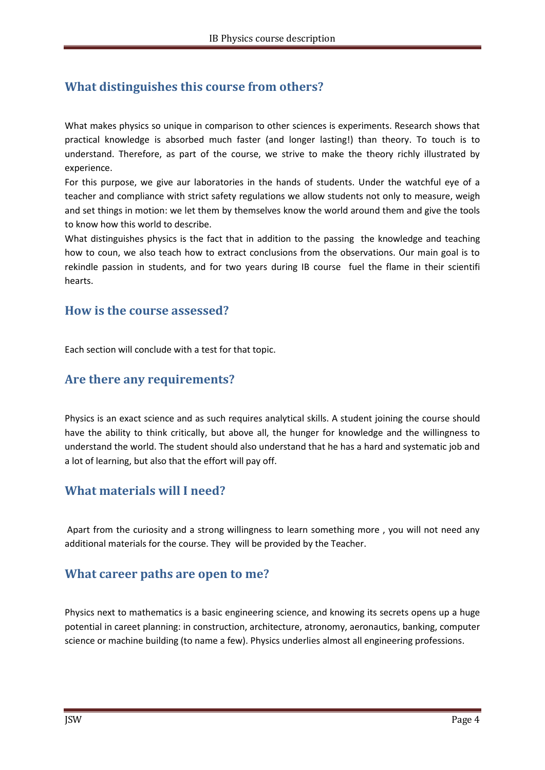# <span id="page-3-0"></span>**What distinguishes this course from others?**

What makes physics so unique in comparison to other sciences is experiments. Research shows that practical knowledge is absorbed much faster (and longer lasting!) than theory. To touch is to understand. Therefore, as part of the course, we strive to make the theory richly illustrated by experience.

For this purpose, we give aur laboratories in the hands of students. Under the watchful eye of a teacher and compliance with strict safety regulations we allow students not only to measure, weigh and set things in motion: we let them by themselves know the world around them and give the tools to know how this world to describe.

What distinguishes physics is the fact that in addition to the passing the knowledge and teaching how to coun, we also teach how to extract conclusions from the observations. Our main goal is to rekindle passion in students, and for two years during IB course fuel the flame in their scientifi hearts.

#### <span id="page-3-1"></span>**How is the course assessed?**

Each section will conclude with a test for that topic.

#### <span id="page-3-2"></span>**Are there any requirements?**

Physics is an exact science and as such requires analytical skills. A student joining the course should have the ability to think critically, but above all, the hunger for knowledge and the willingness to understand the world. The student should also understand that he has a hard and systematic job and a lot of learning, but also that the effort will pay off.

#### <span id="page-3-3"></span>**What materials will I need?**

Apart from the curiosity and a strong willingness to learn something more , you will not need any additional materials for the course. They will be provided by the Teacher.

#### <span id="page-3-4"></span>**What career paths are open to me?**

Physics next to mathematics is a basic engineering science, and knowing its secrets opens up a huge potential in careet planning: in construction, architecture, atronomy, aeronautics, banking, computer science or machine building (to name a few). Physics underlies almost all engineering professions.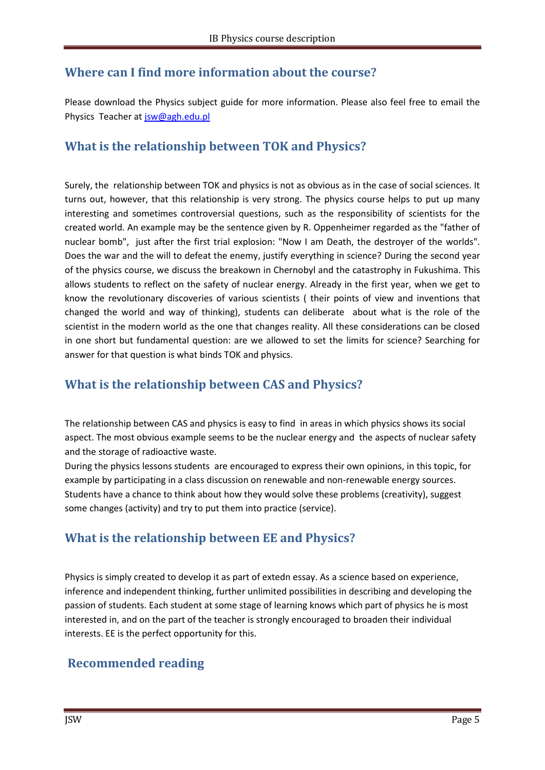# <span id="page-4-0"></span>**Where can I find more information about the course?**

Please download the Physics subject guide for more information. Please also feel free to email the Physics Teacher at [jsw@agh.edu.pl](mailto:jsw@agh.edu.pl)

# <span id="page-4-1"></span>**What is the relationship between TOK and Physics?**

Surely, the relationship between TOK and physics is not as obvious as in the case of social sciences. It turns out, however, that this relationship is very strong. The physics course helps to put up many interesting and sometimes controversial questions, such as the responsibility of scientists for the created world. An example may be the sentence given by R. Oppenheimer regarded as the "father of nuclear bomb", just after the first trial explosion: "Now I am Death, the destroyer of the worlds". Does the war and the will to defeat the enemy, justify everything in science? During the second year of the physics course, we discuss the breakown in Chernobyl and the catastrophy in Fukushima. This allows students to reflect on the safety of nuclear energy. Already in the first year, when we get to know the revolutionary discoveries of various scientists ( their points of view and inventions that changed the world and way of thinking), students can deliberate about what is the role of the scientist in the modern world as the one that changes reality. All these considerations can be closed in one short but fundamental question: are we allowed to set the limits for science? Searching for answer for that question is what binds TOK and physics.

# <span id="page-4-2"></span>**What is the relationship between CAS and Physics?**

The relationship between CAS and physics is easy to find in areas in which physics shows its social aspect. The most obvious example seems to be the nuclear energy and the aspects of nuclear safety and the storage of radioactive waste.

During the physics lessons students are encouraged to express their own opinions, in this topic, for example by participating in a class discussion on renewable and non-renewable energy sources. Students have a chance to think about how they would solve these problems (creativity), suggest some changes (activity) and try to put them into practice (service).

# <span id="page-4-3"></span>**What is the relationship between EE and Physics?**

Physics is simply created to develop it as part of extedn essay. As a science based on experience, inference and independent thinking, further unlimited possibilities in describing and developing the passion of students. Each student at some stage of learning knows which part of physics he is most interested in, and on the part of the teacher is strongly encouraged to broaden their individual interests. EE is the perfect opportunity for this.

# <span id="page-4-4"></span>**Recommended reading**